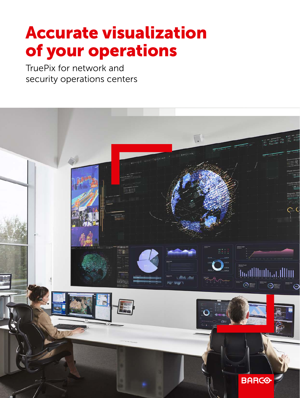# Accurate visualization of your operations

TruePix for network and security operations centers  $\frac{1}{2}$  $\frac{1}{\sqrt{1-\frac{1}{\sqrt{1-\frac{1}{\sqrt{1-\frac{1}{\sqrt{1-\frac{1}{\sqrt{1-\frac{1}{\sqrt{1-\frac{1}{\sqrt{1-\frac{1}{\sqrt{1-\frac{1}{\sqrt{1-\frac{1}{\sqrt{1-\frac{1}{\sqrt{1-\frac{1}{\sqrt{1-\frac{1}{\sqrt{1-\frac{1}{\sqrt{1-\frac{1}{\sqrt{1-\frac{1}{\sqrt{1-\frac{1}{\sqrt{1-\frac{1}{\sqrt{1-\frac{1}{\sqrt{1-\frac{1}{\sqrt{1-\frac{1}{\sqrt{1-\frac{1}{\sqrt{1-\frac{1}{\sqrt{1-\frac{1}{\sqrt{1-\frac{1$  $\overline{a}$ 

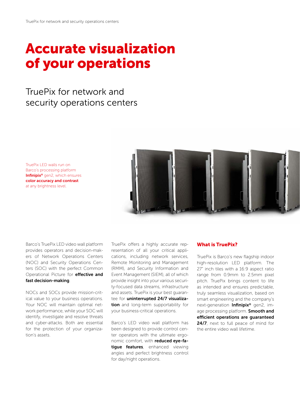## Accurate visualization of your operations

TruePix for network and security operations centers

TruePix LED walls run on Barco's processing platform Infinipix® gen2, which ensures color accuracy and contrast at any brightness level.



Barco's TruePix LED video wall platform provides operators and decision-makers of Network Operations Centers (NOC) and Security Operations Centers (SOC) with the perfect Common Operational Picture for **effective and** fast decision-making.

NOCs and SOCs provide mission-critical value to your business operations. Your NOC will maintain optimal network performance, while your SOC will identify, investigate and resolve threats and cyber-attacks. Both are essential for the protection of your organization's assets.

TruePix offers a highly accurate representation of all your critical applications, including network services, Remote Monitoring and Management (RMM), and Security Information and Event Management (SIEM), all of which provide insight into your various security-focused data streams, infrastructure and assets. TruePix is your best guarantee for uninterrupted 24/7 visualization and long-term supportability for your business-critical operations.

Barco's LED video wall platform has been designed to provide control center operators with the ultimate ergonomic comfort, with reduced eye-fatique features, enhanced viewing angles and perfect brightness control for day/night operations.

#### What is TruePix?

TruePix is Barco's new flagship indoor high-resolution LED platform. The 27" inch tiles with a 16:9 aspect ratio range from 0.9mm to 2.5mm pixel pitch. TruePix brings content to life as intended and ensures predictable, truly seamless visualization, based on smart engineering and the company's next-generation Infinipix® gen2, image processing platform. **Smooth and** efficient operations are guaranteed 24/7, next to full peace of mind for the entire video wall lifetime.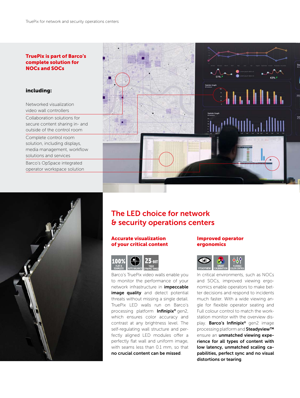## TruePix is part of Barco's complete solution for

#### including:

Networked visualization video wall controllers Collaboration solutions for secure content sharing in- and outside of the control room Complete control room solution, including displays, media management, workflow solutions and services Barco's OpSpace integrated operator workspace solution





### The LED choice for network & security operations centers

#### Accurate visualization of your critical content



Barco's TruePix video walls enable you to monitor the performance of your network infrastructure in impeccable image quality and detect potential threats without missing a single detail. TruePix LED walls run on Barco's processing platform Infinipix® gen2, which ensures color accuracy and contrast at any brightness level. The self-regulating wall structure and perfectly aligned LED modules offer a perfectly flat wall and uniform image, with seams less than 0.1 mm, so that no crucial content can be missed.

#### Improved operator ergonomics



In critical environments, such as NOCs and SOCs, improved viewing ergonomics enable operators to make better decisions and respond to incidents much faster. With a wide viewing angle for flexible operator seating and Full colour control to match the workstation monitor with the overview display. Barco's Infinipix® gen2 image processing platform and Steadyview™ ensure an unmatched viewing experience for all types of content with low latency, unmatched scaling capabilities, perfect sync and no visual distortions or tearing.